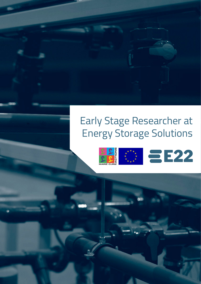# Early Stage Researcher at Energy Storage Solutions



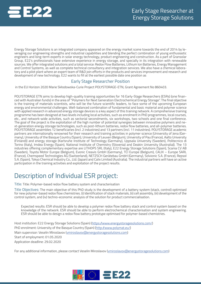

Energy Storage Solutions is an integrated company appeared on the energy market scene towards the end of 2014 by leveraging our engineering strengths and industrial capabilities and blending the perfect combination of young enthusiastic engineers and long-term experts in solar energy technology, product engineering and construction. As a part of Gransolar Group, E22's professionals have extensive experience in energy storage, and specially in its integration with renewable sources. We offer integrated solutions and a total service: Redox Flow Batteries, Lithium Ion Batteries, Energy Management and Control Systems, as well as complete technical consultancy and integration services. We also have a chemical laboratory and a pilot plant where an expert team of R&D join efforts in the products and services improvement and research and development of new technology. E22 wants to fill at the earliest possible date one position as

#### Early Stage Researcher Position

in the EU Horizon 2020 Marie Skłodowska-Curie Project POLYSTORAGE-ETN, Grant Agreement No 860403.

POLYSTORAGE ETN aims to develop high-quality training opportunities for 16 Early-Stage Researchers (ESRs) (one financed with Australian funds) in the area of "Polymers for Next Generation Electrochemical Energy Storage". The final objective is the training of materials scientists, who will be the future scientific leaders, to face some of the upcoming European energy and environmental challenges. Well-balanced combination of fundamental and basic material and polymer science with applied research in advanced energy storage devices is a key aspect of this training network. A comprehensive training programme has been designed at two levels including local activities, such as enrolment in PhD programmes, local courses, etc., and network-wide activities, such as sectorial secondments, six workshops, two schools and one final conference. The goal of the project is the exploitation of the high number of potential synergies between innovative polymers and next-generation energy storage technologies, such as post-lithium batteries, redox flow batteries, and all-polymer batteries. POLYSTORAGE assembles 12 beneficiaries (incl. 2 industries) and 13 partners (incl. 11 industries). POLYSTORAGE academic partners are internationally renowned for their research and training activities in polymer science (University of Jena (Germany), University of the Basque Country (Spain), University of Leuven (Belgium), University of Pau (France), Aalto University (Finland)) and energy storage (Karlsruhe Institute of Technology (Germany), Uppsala University (Sweden), Politecnico di Torino (Italy), Imdea Energy (Spain), National Institute of Chemistry (Slovenia) and Deakin University (Australia)). The 13 industries offering complementary expertise are LITHOPS SRL (Italy), E22 Energy Storage Solutions (Spain), Scania CV AB (Sweden), Toyota Motor Europe (Belgium), Evonic Creavis GmbH (Germany), TCI Europe (Belgium), CALIX – Europe SARL (France), Chemspeed Technologies AG (Switzerland), NETZSCH Gerätebau GmbH (Germany), Solvionic S.A. (France), Repsol S.A. (Spain), Tokyo Chemical Industry Co., Ltd. (Japan) and Calix Limited (Australia). The industrial partners will have an active participation in the training activities and exploitation of the project results.

## Description of Individual ESR project:

Title: Title: Polymer-based redox flow battery system and characterisation

Title Objectives: The main objective of this PhD study is the development of a battery system (stack, control) optimised for new polymer-based redox flow chemistries. (i) Identification of stack materials, (ii) cell assembly, (iii) development of the control system, and (iv) techno-economic analysis of the solution for product commercialisation.

Expected results: ESR should be able to develop a polymer redox flow battery stack and control system based on the knowledge of the network. ESR should be able to perform electrochemical characterisation and system engineering. ESR should be able to design a redox flow battery prototype optimised for polymer-based chemistries.

Host institution: E22 Energy Storage Solutions (Spain) (https://www.energystoragesolutions.com/) PhD enrolment: University of the Basque Country (Spain) (http://www.polymat.eu/) Main supervisor: Veselin Miroslavov (vmiroslavov@energystoragesolutions.com) Start of employment: 01.05.2020 Application deadline: 29.02.2020

For any additional information, please contact Veselin Miroslavov (*vmiroslavov@energystoragesolutions.com*)

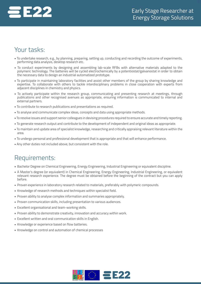

### Your tasks:

- To undertake research, e.g., by planning, preparing, setting up, conducting and recording the outcome of experiments, performing data analysis, desktop research etc.
- To conduct experiments by designing and assembling lab-scale RFBs with alternative materials adapted to the polymeric technology. The batteries will be cycled electrochemically by a potentiostat/galvanostat in order to obtain the necessary data to design an industrial automatized prototype.
- To participate in maintaining laboratory facilities and assist other members of the group by sharing knowledge and expertise. To collaborate with others to tackle interdisciplinary problems in close cooperation with experts from adjacent disciplines in chemistry and physics.
- To actively participate within the research group, communicating and presenting research at meetings, through publications and other recognised avenues as appropriate, ensuring information is communicated to internal and external partners.
- To contribute to research publications and presentations as required.
- To analyse and communicate complex ideas, concepts and data using appropriate methods.
- To resolve issues and support senior colleagues in devising procedures required to ensure accurate and timely reporting.
- To generate research output and contribute to the development of independent and original ideas as appropriate.
- To maintain and update area of specialist knowledge, researching and critically appraising relevant literature within the area.
- To undergo personal and professional development that is appropriate and that will enhance performance.
- Any other duties not included above, but consistent with the role.

#### Requirements:

- Bachelor Degree on Chemical Engineering, Energy Engineering, Industrial Engineering or equivalent discipline.
- A Master's degree (or equivalent) in Chemical Engineering, Energy Engineering, Industrial Engineering, or equivalent relevant research experience. The degree must be obtained before the beginning of the contract but you can apply before.
- Proven experience in laboratory research related to materials, preferably with polymeric compounds.
- Knowledge of research methods and techniques within specialist field.
- Proven ability to analyse complex information and summaries appropriately.
- Proven communication skills, including presentation to various audiences.
- Excellent organisational and team-working skills.
- Proven ability to demonstrate creativity, innovation and accuracy within work.
- Excellent written and oral communication skills in English.
- Knowledge or experience based on flow batteries.
- Knowledge on control and automation of chemical processes

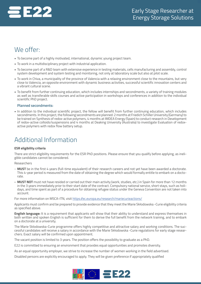

### We offer:

- To become part of a highly motivated, international, dynamic young project team.
- To work in a multidisciplinary project with industrial application.
- To become part of a R&D team with extensive experience in testing materials, cells manufacturing and assembly, control system development and system testing and monitoring, not only at laboratory scale but also at pilot scale.
- To work in Chiva, a municipality of the province of Valencia with a relaxing environment close to the mountains, but very close to Valencia, an opposite environment with dynamic business activities, successful scientific innovation centers and a vibrant cultural scene.
- To benefit from further continuing education, which includes internships and secondments, a variety of training modules as well as transferable skills courses and active participation in workshops and conferences in addition to the individual scientific PhD project.

#### **Planned secondments:**

• In addition to the individual scientific project, the fellow will benefit from further continuing education, which includes secondments. In this project, the following secondments are planned: 2 months at Friedich Schiller University (Germany) to be trained on Synthesis of redox-active polymers, 4 months at IMDEA Energy (Spain) to conduct research in Development of redox-active colloids/suspensions and 4 months at Deaking University (Australia) to investigate Evaluation of redoxactive polymers with redox flow battery setup.

## Additional Information

#### **ESR eligibility criteria**

There are strict eligibility requirements for the ESR PhD positions. Please ensure that you qualify before applying, as ineligible candidates cannot be considered.

#### Researchers

- **MUST** be in the first 4 years (full-time equivalent) of their research careers and not yet have been awarded a doctorate. This 4-year period is measured from the date of obtaining the degree which would formally entitle to embark on a doctorate.
- **- MUST NOT** must not have resided or carried out their main activity (work, studies, etc.) in Spain for more than 12 months in the 3 years immediately prior to their start date of the contract. Compulsory national service, short stays, such as holidays, and time spent as part of a procedure for obtaining refugee status under the Geneva Convention are not taken into account.

For more information on MSCA-ITN, visit https://ec.europa.eu/research/mariecurieactions/

Applicants must confirm and be prepared to provide evidence that they meet the Marie Skłodowska -Curie eligibility criteria as specified above.

**English language:** It is a requirement that applicants will show that their ability to understand and express themselves in both written and spoken English is sufficient for them to derive the full benefit from the network training, and to embark on a doctorate at a university.

The Marie Sklodowska-Curie programme offers highly competitive and attractive salary and working conditions. The successful candidates will receive a salary in accordance with the Marie Skłodowska -Curie regulations for early stage researchers. Exact salary will be confirmed upon appointment.

The vacant position is limited to 3 years. The position offers the possibility to graduate as a PhD.

E22 is committed to ensuring an environment that provides equal opportunities and promotes diversity.

As an equal opportunity employer, we strive to increase the number of women working in the field advertised.

Disabled persons are explicitly encouraged to apply. They will be given preference if appropriately qualified

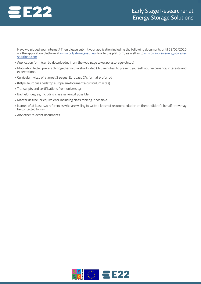

Have we piqued your interest? Then please submit your application including the following documents until 29/02/2020 via the application platform at www.polystorage-etn.eu (link to the platform) as well as to vmiroslavov@energystoragesolutions.com

- Application form (can be downloaded from the web page www.polystorage-etn.eu)
- Motivation letter, preferably together with a short video (3-5 minutes) to present yourself, your experience, interests and expectations.
- Curriculum vitae of at most 3 pages. Europass C.V. format preferred
- (https://europass.cedefop.europa.eu/documents/curriculum vitae)
- Transcripts and certifications from university:
- Bachelor degree, including class ranking if possible.
- Master degree (or equivalent), including class ranking if possible.
- Names of at least two references who are willing to write a letter of recommendation on the candidate's behalf (they may be contacted by us)
- Any other relevant documents